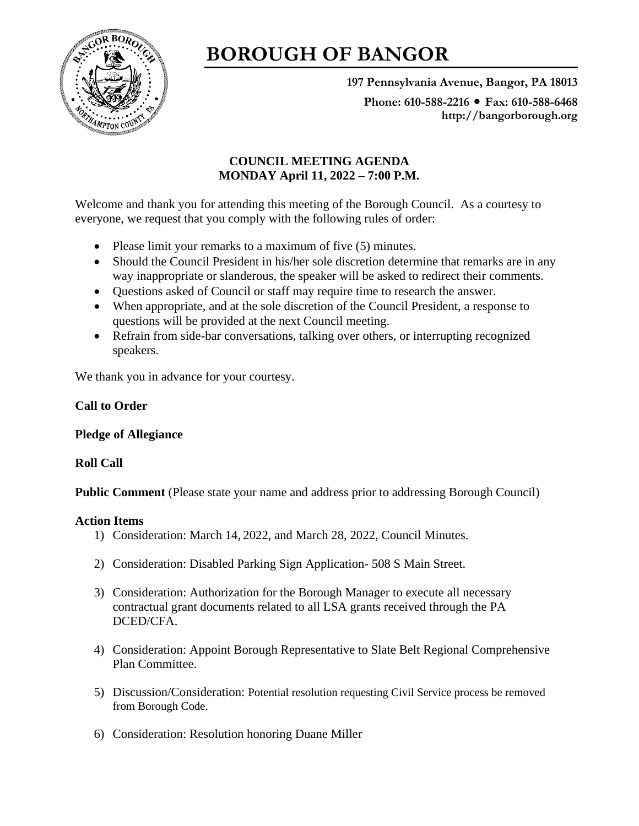

# **BOROUGH OF BANGOR**

**197 Pennsylvania Avenue, Bangor, PA 18013**

Phone: 610-588-2216 ● Fax: 610-588-6468 **http://bangorborough.org**

# **COUNCIL MEETING AGENDA MONDAY April 11, 2022 – 7:00 P.M.**

Welcome and thank you for attending this meeting of the Borough Council. As a courtesy to everyone, we request that you comply with the following rules of order:

- Please limit your remarks to a maximum of five (5) minutes.
- Should the Council President in his/her sole discretion determine that remarks are in any way inappropriate or slanderous, the speaker will be asked to redirect their comments.
- Questions asked of Council or staff may require time to research the answer.
- When appropriate, and at the sole discretion of the Council President, a response to questions will be provided at the next Council meeting.
- Refrain from side-bar conversations, talking over others, or interrupting recognized speakers.

We thank you in advance for your courtesy.

## **Call to Order**

## **Pledge of Allegiance**

## **Roll Call**

**Public Comment** (Please state your name and address prior to addressing Borough Council)

## **Action Items**

- 1) Consideration: March 14, 2022, and March 28, 2022, Council Minutes.
- 2) Consideration: Disabled Parking Sign Application- 508 S Main Street.
- 3) Consideration: Authorization for the Borough Manager to execute all necessary contractual grant documents related to all LSA grants received through the PA DCED/CFA.
- 4) Consideration: Appoint Borough Representative to Slate Belt Regional Comprehensive Plan Committee.
- 5) Discussion/Consideration: Potential resolution requesting Civil Service process be removed from Borough Code.
- 6) Consideration: Resolution honoring Duane Miller